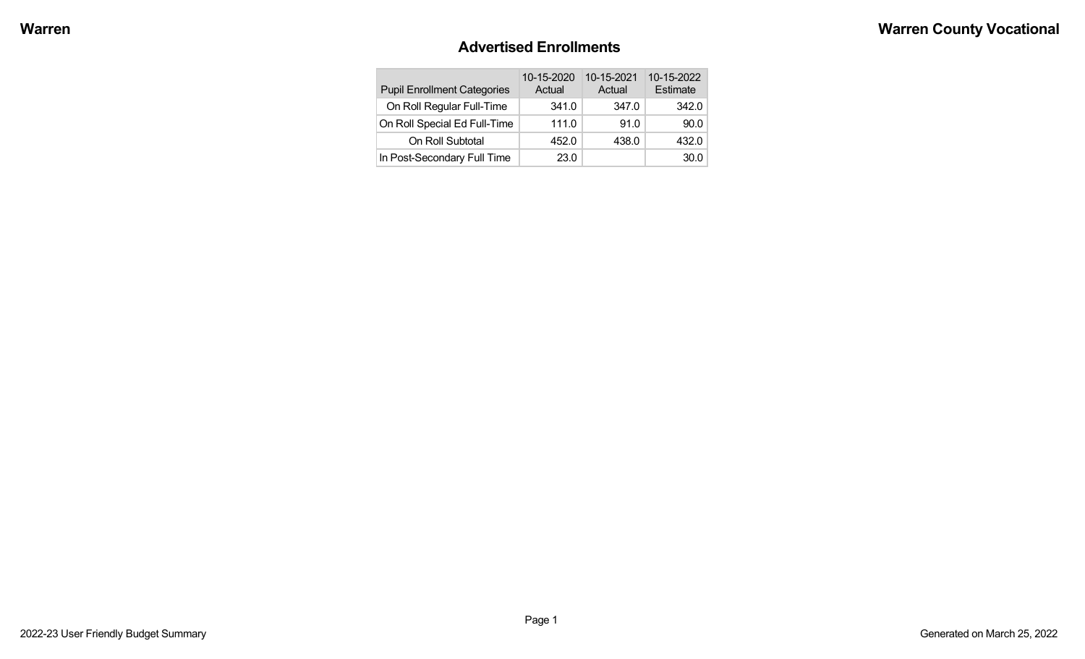#### **Advertised Enrollments**

| <b>Pupil Enrollment Categories</b> | 10-15-2020<br>Actual | 10-15-2021<br>Actual | 10-15-2022<br>Estimate |
|------------------------------------|----------------------|----------------------|------------------------|
| On Roll Regular Full-Time          | 341.0                | 347.0                | 342.0                  |
| On Roll Special Ed Full-Time       | 111.0                | 91.0                 | 90.0                   |
| On Roll Subtotal                   | 452.0                | 438.0                | 432.0                  |
| In Post-Secondary Full Time        | 23.0                 |                      | 30.0                   |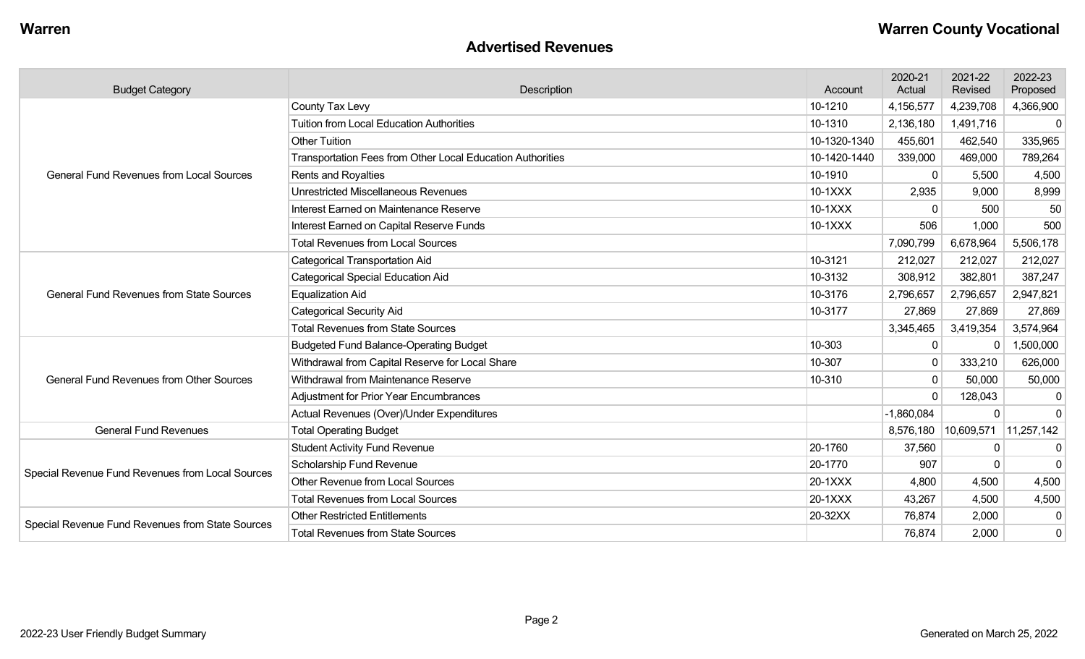#### **Advertised Revenues**

| <b>Budget Category</b>                           | Description                                                | Account      | 2020-21<br>Actual    | 2021-22<br>Revised | 2022-23<br>Proposed |
|--------------------------------------------------|------------------------------------------------------------|--------------|----------------------|--------------------|---------------------|
|                                                  | County Tax Levy                                            | 10-1210      | 4,156,577            | 4,239,708          | 4,366,900           |
|                                                  | <b>Tuition from Local Education Authorities</b>            | 10-1310      | 2,136,180            | 1,491,716          | $\mathbf 0$         |
|                                                  | <b>Other Tuition</b>                                       | 10-1320-1340 | 455,601              | 462,540            | 335,965             |
|                                                  | Transportation Fees from Other Local Education Authorities | 10-1420-1440 | 339,000              | 469,000            | 789,264             |
| <b>General Fund Revenues from Local Sources</b>  | Rents and Royalties                                        | 10-1910      | $\Omega$             | 5,500              | 4,500               |
|                                                  | <b>Unrestricted Miscellaneous Revenues</b>                 | 10-1XXX      | 2,935                | 9,000              | 8,999               |
|                                                  | Interest Earned on Maintenance Reserve                     | 10-1XXX      | $\mathbf{0}$         | 500                | 50                  |
|                                                  | Interest Earned on Capital Reserve Funds                   | 10-1XXX      | 506                  | 1,000              | 500                 |
|                                                  | <b>Total Revenues from Local Sources</b>                   |              | 7,090,799            | 6,678,964          | 5,506,178           |
|                                                  | <b>Categorical Transportation Aid</b>                      | 10-3121      | 212,027              | 212,027            | 212,027             |
| <b>General Fund Revenues from State Sources</b>  | <b>Categorical Special Education Aid</b>                   | 10-3132      | 308,912              | 382,801            | 387,247             |
|                                                  | <b>Equalization Aid</b>                                    | 10-3176      | 2,796,657            | 2,796,657          | 2,947,821           |
|                                                  | <b>Categorical Security Aid</b>                            | 10-3177      | 27,869               | 27,869             | 27,869              |
|                                                  | <b>Total Revenues from State Sources</b>                   |              | 3,345,465            | 3,419,354          | 3,574,964           |
|                                                  | <b>Budgeted Fund Balance-Operating Budget</b>              | 10-303       | 0                    |                    | 1,500,000           |
|                                                  | Withdrawal from Capital Reserve for Local Share            | 10-307       | $\mathbf 0$          | 333,210            | 626,000             |
| <b>General Fund Revenues from Other Sources</b>  | Withdrawal from Maintenance Reserve                        | 10-310       | $\Omega$             | 50,000             | 50,000              |
|                                                  | <b>Adjustment for Prior Year Encumbrances</b>              |              | $\Omega$             | 128,043            | -0                  |
|                                                  | Actual Revenues (Over)/Under Expenditures                  |              | $-1,860,084$         | $\Omega$           | $\Omega$            |
| <b>General Fund Revenues</b>                     | <b>Total Operating Budget</b>                              |              | 8,576,180 10,609,571 |                    | 11,257,142          |
|                                                  | <b>Student Activity Fund Revenue</b>                       | 20-1760      | 37,560               | $\mathbf{0}$       | $\mathbf 0$         |
| Special Revenue Fund Revenues from Local Sources | Scholarship Fund Revenue                                   | 20-1770      | 907                  | $\Omega$           | $\Omega$            |
|                                                  | <b>Other Revenue from Local Sources</b>                    | 20-1XXX      | 4,800                | 4,500              | 4,500               |
|                                                  | <b>Total Revenues from Local Sources</b>                   | 20-1XXX      | 43,267               | 4,500              | 4,500               |
| Special Revenue Fund Revenues from State Sources | <b>Other Restricted Entitlements</b>                       | 20-32XX      | 76,874               | 2,000              | 0                   |
|                                                  | <b>Total Revenues from State Sources</b>                   |              | 76,874               | 2,000              | $\mathbf 0$         |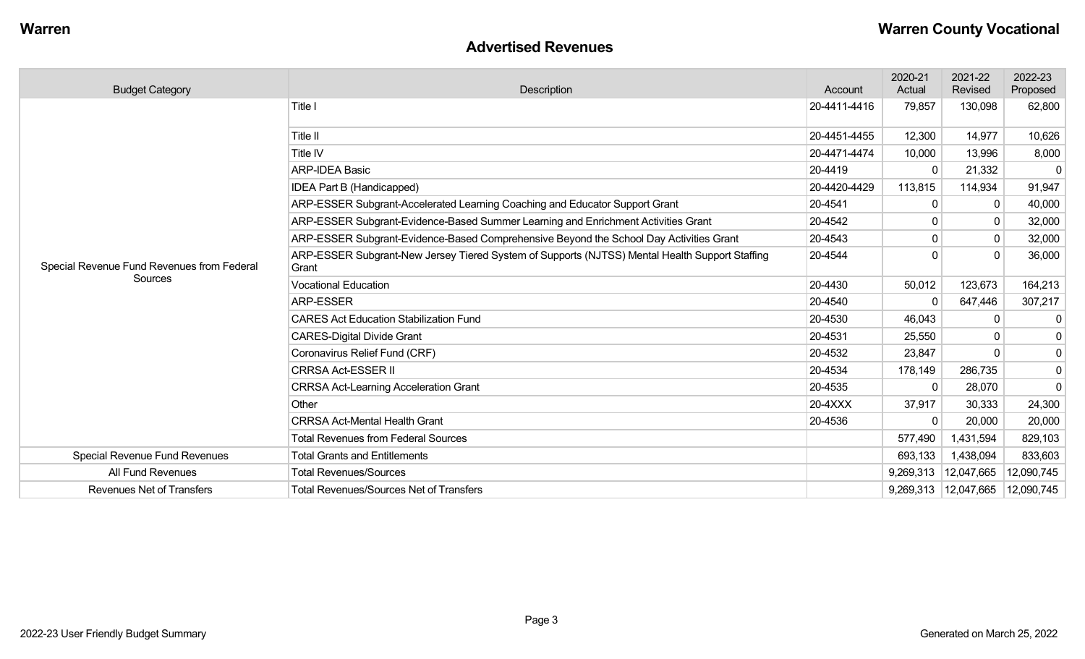#### **Advertised Revenues**

| <b>Budget Category</b>                                | Description                                                                                             | Account      | 2020-21<br>Actual | 2021-22<br>Revised | 2022-23<br>Proposed |
|-------------------------------------------------------|---------------------------------------------------------------------------------------------------------|--------------|-------------------|--------------------|---------------------|
|                                                       | Title I                                                                                                 | 20-4411-4416 | 79,857            | 130,098            | 62,800              |
|                                                       | Title II                                                                                                | 20-4451-4455 | 12,300            | 14,977             | 10,626              |
|                                                       | Title IV                                                                                                | 20-4471-4474 | 10,000            | 13,996             | 8,000               |
|                                                       | <b>ARP-IDEA Basic</b>                                                                                   | 20-4419      | $\Omega$          | 21,332             | $\mathbf 0$         |
|                                                       | IDEA Part B (Handicapped)                                                                               | 20-4420-4429 | 113,815           | 114,934            | 91,947              |
|                                                       | ARP-ESSER Subgrant-Accelerated Learning Coaching and Educator Support Grant                             | 20-4541      | $\Omega$          |                    | 40,000              |
|                                                       | ARP-ESSER Subgrant-Evidence-Based Summer Learning and Enrichment Activities Grant                       | 20-4542      |                   | 0                  | 32,000              |
|                                                       | ARP-ESSER Subgrant-Evidence-Based Comprehensive Beyond the School Day Activities Grant                  | 20-4543      |                   | $\Omega$           | 32,000              |
| Special Revenue Fund Revenues from Federal<br>Sources | ARP-ESSER Subgrant-New Jersey Tiered System of Supports (NJTSS) Mental Health Support Staffing<br>Grant | 20-4544      |                   | $\Omega$           | 36,000              |
|                                                       | <b>Vocational Education</b>                                                                             | 20-4430      | 50,012            | 123,673            | 164,213             |
|                                                       | <b>ARP-ESSER</b>                                                                                        | 20-4540      | $\Omega$          | 647,446            | 307,217             |
|                                                       | <b>CARES Act Education Stabilization Fund</b>                                                           | 20-4530      | 46,043            |                    | 0                   |
|                                                       | <b>CARES-Digital Divide Grant</b>                                                                       | 20-4531      | 25,550            |                    | $\overline{0}$      |
|                                                       | Coronavirus Relief Fund (CRF)                                                                           | 20-4532      | 23,847            |                    | $\overline{0}$      |
|                                                       | <b>CRRSA Act-ESSER II</b>                                                                               | 20-4534      | 178,149           | 286,735            | 0                   |
|                                                       | <b>CRRSA Act-Learning Acceleration Grant</b>                                                            | 20-4535      | $\Omega$          | 28,070             | $\overline{0}$      |
|                                                       | Other                                                                                                   | 20-4XXX      | 37,917            | 30,333             | 24,300              |
|                                                       | <b>CRRSA Act-Mental Health Grant</b>                                                                    | 20-4536      | $\Omega$          | 20,000             | 20,000              |
|                                                       | <b>Total Revenues from Federal Sources</b>                                                              |              | 577,490           | 1,431,594          | 829,103             |
| Special Revenue Fund Revenues                         | <b>Total Grants and Entitlements</b>                                                                    |              | 693,133           | 1,438,094          | 833,603             |
| All Fund Revenues                                     | <b>Total Revenues/Sources</b>                                                                           |              | 9,269,313         | 12,047,665         | 12,090,745          |
| <b>Revenues Net of Transfers</b>                      | <b>Total Revenues/Sources Net of Transfers</b>                                                          |              | 9,269,313         | 12,047,665         | 12,090,745          |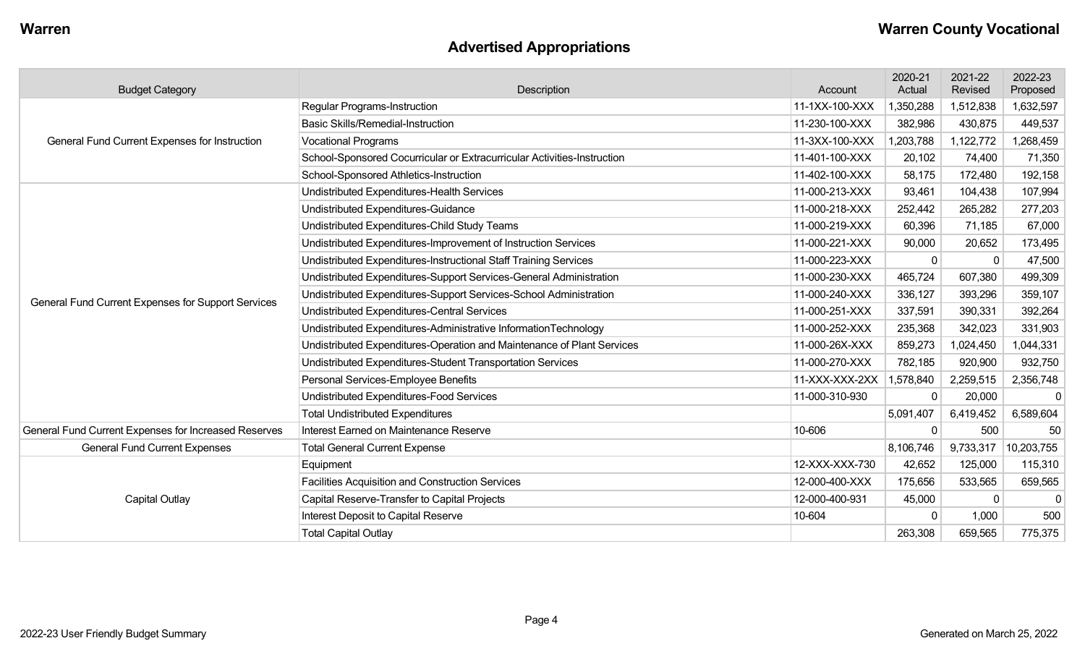# **Advertised Appropriations**

| <b>Budget Category</b>                               | Description                                                             | Account        | 2020-21<br>Actual | 2021-22<br>Revised | 2022-23<br>Proposed |
|------------------------------------------------------|-------------------------------------------------------------------------|----------------|-------------------|--------------------|---------------------|
|                                                      | <b>Regular Programs-Instruction</b>                                     | 11-1XX-100-XXX | ,350,288          | 1,512,838          | 1,632,597           |
|                                                      | <b>Basic Skills/Remedial-Instruction</b>                                | 11-230-100-XXX | 382,986           | 430,875            | 449,537             |
| General Fund Current Expenses for Instruction        | <b>Vocational Programs</b>                                              | 11-3XX-100-XXX | ,203,788          | 1,122,772          | ,268,459            |
|                                                      | School-Sponsored Cocurricular or Extracurricular Activities-Instruction | 11-401-100-XXX | 20,102            | 74,400             | 71,350              |
|                                                      | School-Sponsored Athletics-Instruction                                  | 11-402-100-XXX | 58,175            | 172,480            | 192,158             |
|                                                      | Undistributed Expenditures-Health Services                              | 11-000-213-XXX | 93,461            | 104,438            | 107,994             |
|                                                      | Undistributed Expenditures-Guidance                                     | 11-000-218-XXX | 252,442           | 265,282            | 277,203             |
|                                                      | Undistributed Expenditures-Child Study Teams                            | 11-000-219-XXX | 60,396            | 71,185             | 67,000              |
|                                                      | Undistributed Expenditures-Improvement of Instruction Services          | 11-000-221-XXX | 90,000            | 20,652             | 173,495             |
|                                                      | Undistributed Expenditures-Instructional Staff Training Services        | 11-000-223-XXX | $\mathbf{0}$      | $\Omega$           | 47,500              |
|                                                      | Undistributed Expenditures-Support Services-General Administration      | 11-000-230-XXX | 465,724           | 607,380            | 499,309             |
|                                                      | Undistributed Expenditures-Support Services-School Administration       | 11-000-240-XXX | 336,127           | 393,296            | 359,107             |
| General Fund Current Expenses for Support Services   | <b>Undistributed Expenditures-Central Services</b>                      | 11-000-251-XXX | 337,591           | 390,331            | 392,264             |
|                                                      | Undistributed Expenditures-Administrative InformationTechnology         | 11-000-252-XXX | 235,368           | 342,023            | 331,903             |
|                                                      | Undistributed Expenditures-Operation and Maintenance of Plant Services  | 11-000-26X-XXX | 859,273           | 1,024,450          | 1,044,331           |
|                                                      | Undistributed Expenditures-Student Transportation Services              | 11-000-270-XXX | 782,185           | 920,900            | 932,750             |
|                                                      | Personal Services-Employee Benefits                                     | 11-XXX-XXX-2XX | 1,578,840         | 2,259,515          | 2,356,748           |
|                                                      | Undistributed Expenditures-Food Services                                | 11-000-310-930 | 0                 | 20,000             | $\mathbf 0$         |
|                                                      | <b>Total Undistributed Expenditures</b>                                 |                | 5,091,407         | 6,419,452          | 6,589,604           |
| General Fund Current Expenses for Increased Reserves | Interest Earned on Maintenance Reserve                                  | 10-606         | $\mathbf{0}$      | 500                | 50                  |
| <b>General Fund Current Expenses</b>                 | <b>Total General Current Expense</b>                                    |                | 8,106,746         | 9,733,317          | 10,203,755          |
|                                                      | Equipment                                                               | 12-XXX-XXX-730 | 42,652            | 125,000            | 115,310             |
|                                                      | <b>Facilities Acquisition and Construction Services</b>                 | 12-000-400-XXX | 175,656           | 533,565            | 659,565             |
| <b>Capital Outlay</b>                                | Capital Reserve-Transfer to Capital Projects                            | 12-000-400-931 | 45,000            | $\mathbf{0}$       | <sup>-</sup>        |
|                                                      | Interest Deposit to Capital Reserve                                     | 10-604         | $\Omega$          | 1,000              | 500                 |
|                                                      | <b>Total Capital Outlay</b>                                             |                | 263,308           | 659,565            | 775,375             |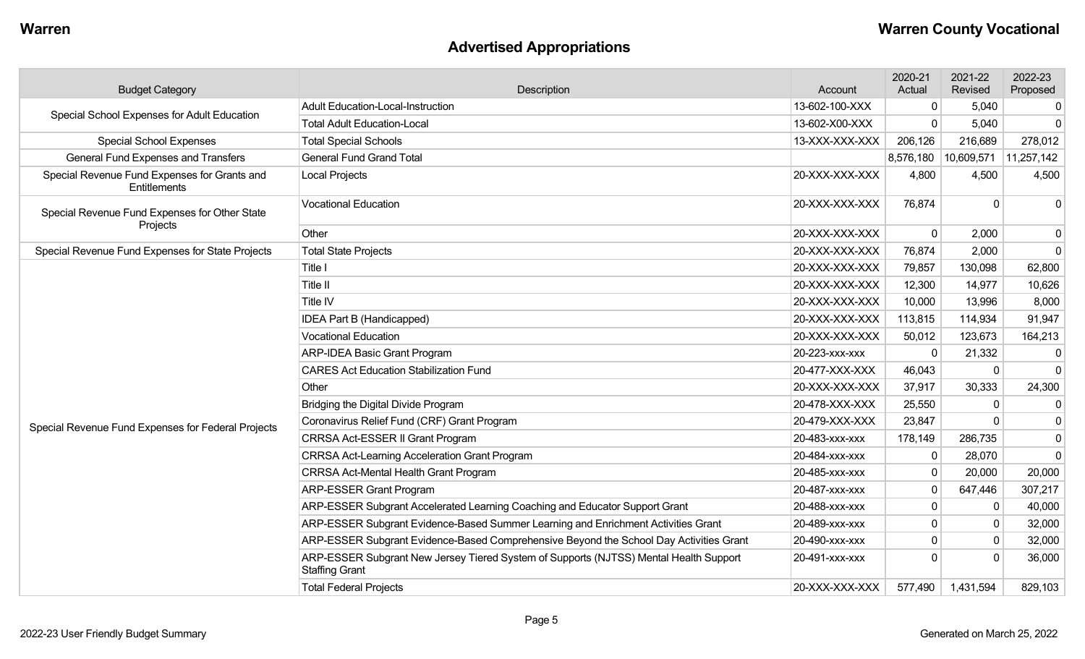# **Advertised Appropriations**

| <b>Budget Category</b>                                       | Description                                                                                                    | Account        | 2020-21<br>Actual | 2021-22<br>Revised                  | 2022-23<br>Proposed |
|--------------------------------------------------------------|----------------------------------------------------------------------------------------------------------------|----------------|-------------------|-------------------------------------|---------------------|
| Special School Expenses for Adult Education                  | Adult Education-Local-Instruction                                                                              | 13-602-100-XXX | $\mathbf{0}$      | 5,040                               | 0                   |
|                                                              | <b>Total Adult Education-Local</b>                                                                             | 13-602-X00-XXX | $\Omega$          | 5,040                               | $\Omega$            |
| <b>Special School Expenses</b>                               | <b>Total Special Schools</b><br>13-XXX-XXX-XXX                                                                 |                | 206,126           | 216,689                             | 278,012             |
| <b>General Fund Expenses and Transfers</b>                   | <b>General Fund Grand Total</b>                                                                                |                |                   | 8,576,180   10,609,571   11,257,142 |                     |
| Special Revenue Fund Expenses for Grants and<br>Entitlements | <b>Local Projects</b>                                                                                          | 20-XXX-XXX-XXX | 4,800             | 4,500                               | 4,500               |
| Special Revenue Fund Expenses for Other State<br>Projects    | <b>Vocational Education</b>                                                                                    | 20-XXX-XXX-XXX | 76,874            | $\Omega$                            | $\Omega$            |
|                                                              | Other                                                                                                          | 20-XXX-XXX-XXX | 0                 | 2,000                               | $\mathbf 0$         |
| Special Revenue Fund Expenses for State Projects             | <b>Total State Projects</b>                                                                                    | 20-XXX-XXX-XXX | 76,874            | 2,000                               | $\mathbf 0$         |
|                                                              | Title I                                                                                                        | 20-XXX-XXX-XXX | 79,857            | 130,098                             | 62,800              |
|                                                              | Title II                                                                                                       | 20-XXX-XXX-XXX | 12,300            | 14,977                              | 10,626              |
|                                                              | Title IV                                                                                                       | 20-XXX-XXX-XXX | 10,000            | 13,996                              | 8,000               |
|                                                              | <b>IDEA Part B (Handicapped)</b>                                                                               | 20-XXX-XXX-XXX | 113,815           | 114,934                             | 91,947              |
|                                                              | <b>Vocational Education</b>                                                                                    | 20-XXX-XXX-XXX | 50,012            | 123,673                             | 164,213             |
|                                                              | <b>ARP-IDEA Basic Grant Program</b>                                                                            | 20-223-xxx-xxx | $\Omega$          | 21,332                              | $\mathbf 0$         |
|                                                              | <b>CARES Act Education Stabilization Fund</b>                                                                  | 20-477-XXX-XXX | 46,043            | $\Omega$                            | $\mathbf 0$         |
|                                                              | Other                                                                                                          | 20-XXX-XXX-XXX | 37,917            | 30,333                              | 24,300              |
|                                                              | Bridging the Digital Divide Program                                                                            | 20-478-XXX-XXX | 25,550            | $\mathbf{0}$                        | 0                   |
| Special Revenue Fund Expenses for Federal Projects           | Coronavirus Relief Fund (CRF) Grant Program                                                                    | 20-479-XXX-XXX | 23,847            | $\Omega$                            | $\mathbf 0$         |
|                                                              | CRRSA Act-ESSER II Grant Program                                                                               | 20-483-xxx-xxx | 178,149           | 286,735                             | $\mathbf{0}$        |
|                                                              | <b>CRRSA Act-Learning Acceleration Grant Program</b>                                                           | 20-484-xxx-xxx | $\mathbf 0$       | 28,070                              | $\mathbf 0$         |
|                                                              | CRRSA Act-Mental Health Grant Program                                                                          | 20-485-xxx-xxx | $\mathbf 0$       | 20,000                              | 20,000              |
|                                                              | <b>ARP-ESSER Grant Program</b>                                                                                 | 20-487-xxx-xxx | $\mathbf{0}$      | 647,446                             | 307,217             |
|                                                              | ARP-ESSER Subgrant Accelerated Learning Coaching and Educator Support Grant                                    | 20-488-xxx-xxx | $\mathbf 0$       | $\Omega$                            | 40,000              |
|                                                              | ARP-ESSER Subgrant Evidence-Based Summer Learning and Enrichment Activities Grant                              | 20-489-xxx-xxx | $\mathbf{0}$      | $\Omega$                            | 32,000              |
|                                                              | ARP-ESSER Subgrant Evidence-Based Comprehensive Beyond the School Day Activities Grant                         | 20-490-xxx-xxx | $\mathbf{0}$      | $\Omega$                            | 32,000              |
|                                                              | ARP-ESSER Subgrant New Jersey Tiered System of Supports (NJTSS) Mental Health Support<br><b>Staffing Grant</b> | 20-491-xxx-xxx | $\Omega$          |                                     | 36,000              |
|                                                              | <b>Total Federal Projects</b>                                                                                  | 20-XXX-XXX-XXX | 577,490           | 1,431,594                           | 829,103             |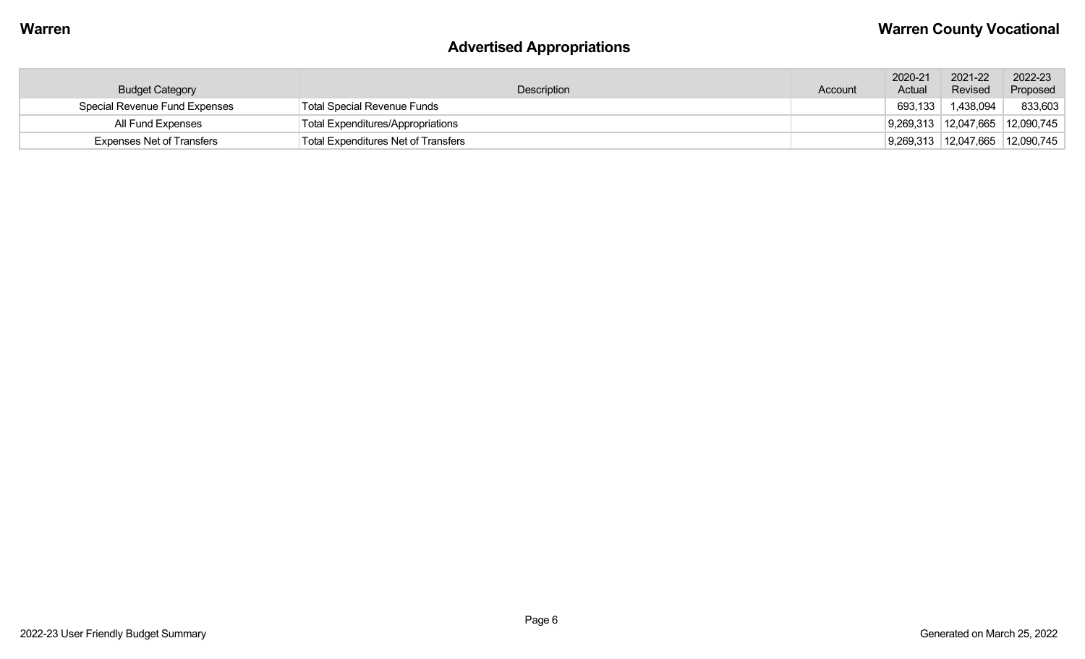# **Advertised Appropriations**

| <b>Budget Category</b>           | Description                         | Account | 2020-21<br>Actual | 2021-22<br>Revised                  | 2022-23<br>Proposed                        |
|----------------------------------|-------------------------------------|---------|-------------------|-------------------------------------|--------------------------------------------|
| Special Revenue Fund Expenses    | Total Special Revenue Funds         |         | 693,133           | 1,438,094                           | 833,603                                    |
| All Fund Expenses                | Total Expenditures/Appropriations   |         |                   |                                     | $ 9,269,313 \t  12,047,665 \t  12,090,745$ |
| <b>Expenses Net of Transfers</b> | Total Expenditures Net of Transfers |         |                   | 9,269,313   12,047,665   12,090,745 |                                            |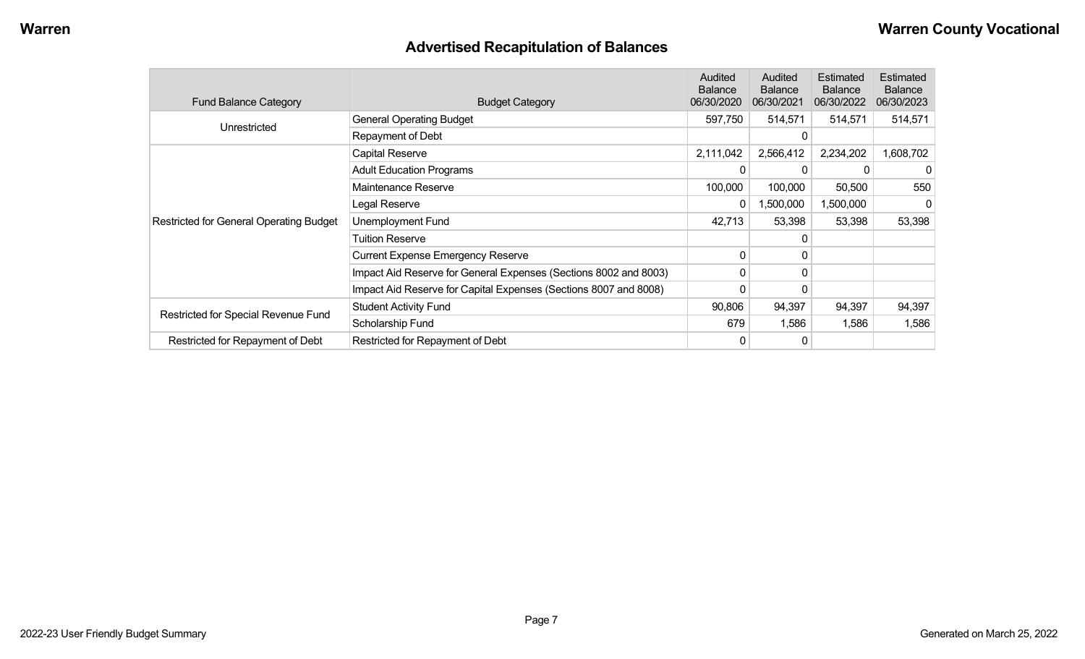# **Advertised Recapitulation of Balances**

| <b>Fund Balance Category</b>                   | <b>Budget Category</b>                                           | Audited<br><b>Balance</b><br>06/30/2020 | Audited<br><b>Balance</b><br>06/30/2021 | Estimated<br><b>Balance</b><br>06/30/2022 | Estimated<br><b>Balance</b><br>06/30/2023 |
|------------------------------------------------|------------------------------------------------------------------|-----------------------------------------|-----------------------------------------|-------------------------------------------|-------------------------------------------|
| Unrestricted                                   | <b>General Operating Budget</b>                                  | 597,750                                 | 514,571                                 | 514,571                                   | 514,571                                   |
|                                                | Repayment of Debt                                                |                                         | $\mathbf{0}$                            |                                           |                                           |
|                                                | Capital Reserve                                                  | 2,111,042                               | 2,566,412                               | 2,234,202                                 | 1,608,702                                 |
|                                                | <b>Adult Education Programs</b>                                  | 0                                       | 0                                       |                                           | 0                                         |
|                                                | Maintenance Reserve                                              | 100,000                                 | 100,000                                 | 50,500                                    | 550                                       |
|                                                | Legal Reserve                                                    | 0                                       | 1,500,000                               | 1,500,000                                 | 0                                         |
| <b>Restricted for General Operating Budget</b> | Unemployment Fund                                                | 42,713                                  | 53,398                                  | 53,398                                    | 53,398                                    |
|                                                | <b>Tuition Reserve</b>                                           |                                         | 0                                       |                                           |                                           |
|                                                | <b>Current Expense Emergency Reserve</b>                         | 0                                       | $\mathbf{0}$                            |                                           |                                           |
|                                                | Impact Aid Reserve for General Expenses (Sections 8002 and 8003) | 0                                       | 0                                       |                                           |                                           |
|                                                | Impact Aid Reserve for Capital Expenses (Sections 8007 and 8008) | 0                                       | 0                                       |                                           |                                           |
|                                                | <b>Student Activity Fund</b>                                     | 90,806                                  | 94,397                                  | 94,397                                    | 94,397                                    |
| Restricted for Special Revenue Fund            | Scholarship Fund                                                 | 679                                     | 1,586                                   | 1,586                                     | 1,586                                     |
| Restricted for Repayment of Debt               | Restricted for Repayment of Debt                                 | 0                                       | 0                                       |                                           |                                           |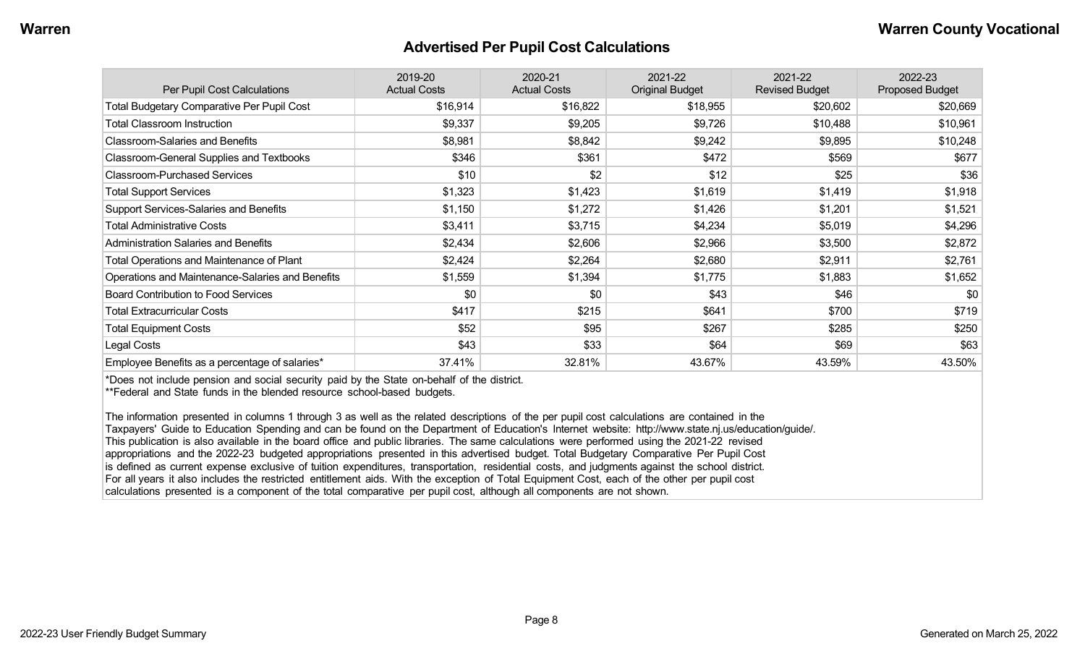#### **Advertised Per Pupil Cost Calculations**

| Per Pupil Cost Calculations                       | 2019-20<br><b>Actual Costs</b> | 2020-21<br><b>Actual Costs</b> | 2021-22<br><b>Original Budget</b> | 2021-22<br><b>Revised Budget</b> | 2022-23<br><b>Proposed Budget</b> |
|---------------------------------------------------|--------------------------------|--------------------------------|-----------------------------------|----------------------------------|-----------------------------------|
| <b>Total Budgetary Comparative Per Pupil Cost</b> | \$16,914                       | \$16,822                       | \$18,955                          | \$20,602                         | \$20,669                          |
| <b>Total Classroom Instruction</b>                | \$9,337                        | \$9,205                        | \$9,726                           | \$10,488                         | \$10,961                          |
| <b>Classroom-Salaries and Benefits</b>            | \$8,981                        | \$8,842                        | \$9,242                           | \$9,895                          | \$10,248                          |
| Classroom-General Supplies and Textbooks          | \$346                          | \$361                          | \$472                             | \$569                            | \$677                             |
| <b>Classroom-Purchased Services</b>               | \$10                           | \$2                            | \$12                              | \$25                             | \$36                              |
| <b>Total Support Services</b>                     | \$1,323                        | \$1,423                        | \$1,619                           | \$1,419                          | \$1,918                           |
| <b>Support Services-Salaries and Benefits</b>     | \$1,150                        | \$1,272                        | \$1,426                           | \$1,201                          | \$1,521                           |
| <b>Total Administrative Costs</b>                 | \$3,411                        | \$3,715                        | \$4,234                           | \$5,019                          | \$4,296                           |
| <b>Administration Salaries and Benefits</b>       | \$2,434                        | \$2,606                        | \$2,966                           | \$3,500                          | \$2,872                           |
| Total Operations and Maintenance of Plant         | \$2,424                        | \$2,264                        | \$2,680                           | \$2,911                          | \$2,761                           |
| Operations and Maintenance-Salaries and Benefits  | \$1,559                        | \$1,394                        | \$1,775                           | \$1,883                          | \$1,652                           |
| <b>Board Contribution to Food Services</b>        | \$0                            | \$0                            | \$43                              | \$46                             | \$0                               |
| <b>Total Extracurricular Costs</b>                | \$417                          | \$215                          | \$641                             | \$700                            | \$719                             |
| <b>Total Equipment Costs</b>                      | \$52                           | \$95                           | \$267                             | \$285                            | \$250                             |
| Legal Costs                                       | \$43                           | \$33                           | \$64                              | \$69                             | \$63                              |
| Employee Benefits as a percentage of salaries*    | 37.41%                         | 32.81%                         | 43.67%                            | 43.59%                           | 43.50%                            |

\*Does not include pension and social security paid by the State on-behalf of the district.

\*\*Federal and State funds in the blended resource school-based budgets.

The information presented in columns 1 through 3 as well as the related descriptions of the per pupil cost calculations are contained in the Taxpayers' Guide to Education Spending and can be found on the Department of Education's Internet website: http://www.state.nj.us/education/guide/. This publication is also available in the board office and public libraries. The same calculations were performed using the 2021-22 revised appropriations and the 2022-23 budgeted appropriations presented in this advertised budget. Total Budgetary Comparative Per Pupil Cost is defined as current expense exclusive of tuition expenditures, transportation, residential costs, and judgments against the school district. For all years it also includes the restricted entitlement aids. With the exception of Total Equipment Cost, each of the other per pupil cost calculations presented is a component of the total comparative per pupil cost, although all components are not shown.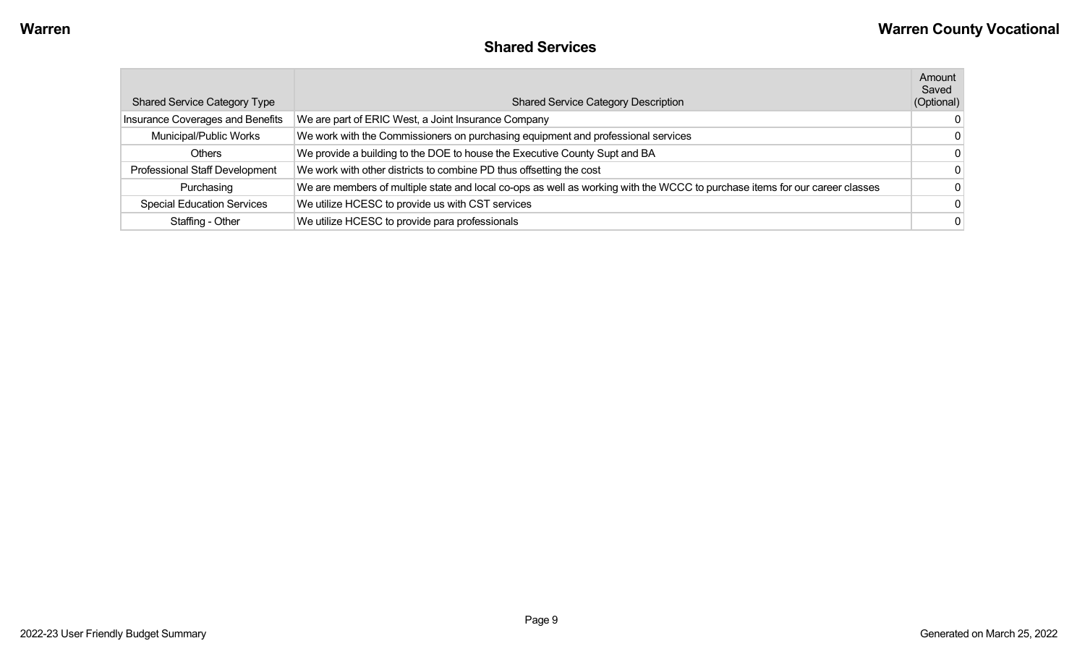|  | <b>Shared Services</b> |
|--|------------------------|
|--|------------------------|

| <b>Shared Service Category Type</b> | <b>Shared Service Category Description</b>                                                                                  | Amount<br>Saved<br>(Optional) |
|-------------------------------------|-----------------------------------------------------------------------------------------------------------------------------|-------------------------------|
| Insurance Coverages and Benefits    | We are part of ERIC West, a Joint Insurance Company                                                                         | $\overline{0}$                |
| Municipal/Public Works              | We work with the Commissioners on purchasing equipment and professional services                                            | $\overline{0}$                |
| Others                              | We provide a building to the DOE to house the Executive County Supt and BA                                                  | $\overline{0}$                |
| Professional Staff Development      | We work with other districts to combine PD thus offsetting the cost                                                         | $\overline{0}$                |
| Purchasing                          | We are members of multiple state and local co-ops as well as working with the WCCC to purchase items for our career classes | $\mathbf{0}$                  |
| <b>Special Education Services</b>   | We utilize HCESC to provide us with CST services                                                                            | $\overline{0}$                |
| Staffing - Other                    | We utilize HCESC to provide para professionals                                                                              | $\overline{0}$                |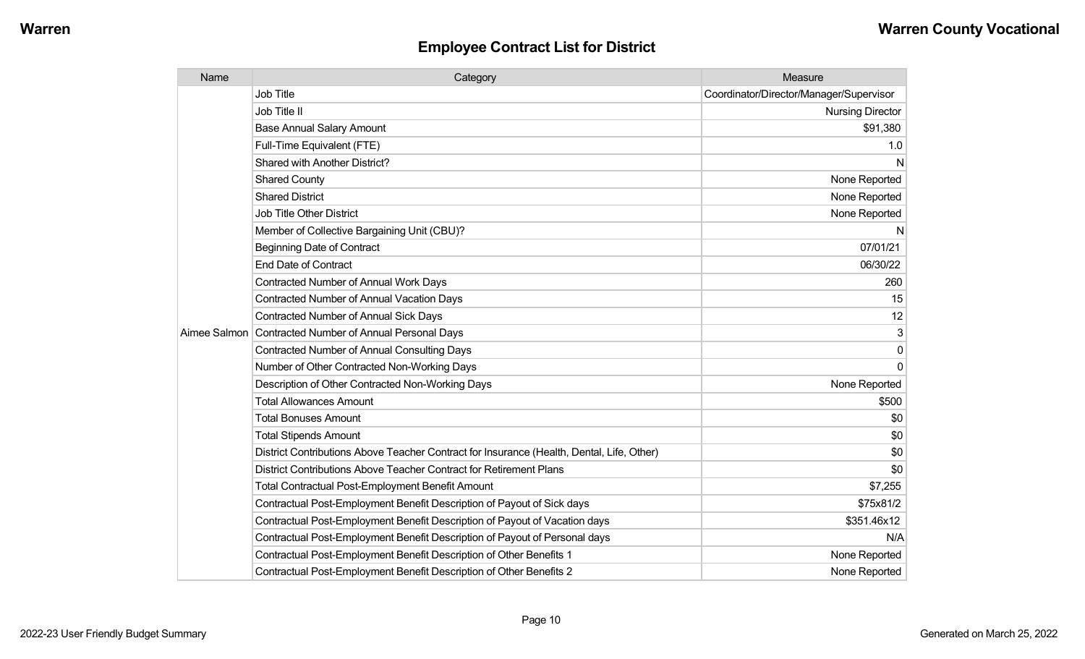| Name | Category                                                                                  | Measure                                 |
|------|-------------------------------------------------------------------------------------------|-----------------------------------------|
|      | <b>Job Title</b>                                                                          | Coordinator/Director/Manager/Supervisor |
|      | Job Title II                                                                              | <b>Nursing Director</b>                 |
|      | <b>Base Annual Salary Amount</b>                                                          | \$91,380                                |
|      | Full-Time Equivalent (FTE)                                                                | 1.0                                     |
|      | Shared with Another District?                                                             | N                                       |
|      | <b>Shared County</b>                                                                      | None Reported                           |
|      | <b>Shared District</b>                                                                    | None Reported                           |
|      | <b>Job Title Other District</b>                                                           | None Reported                           |
|      | Member of Collective Bargaining Unit (CBU)?                                               | N                                       |
|      | <b>Beginning Date of Contract</b>                                                         | 07/01/21                                |
|      | <b>End Date of Contract</b>                                                               | 06/30/22                                |
|      | <b>Contracted Number of Annual Work Days</b>                                              | 260                                     |
|      | <b>Contracted Number of Annual Vacation Days</b>                                          | 15                                      |
|      | <b>Contracted Number of Annual Sick Days</b>                                              | 12                                      |
|      | Aimee Salmon Contracted Number of Annual Personal Days                                    | 3                                       |
|      | <b>Contracted Number of Annual Consulting Days</b>                                        | $\Omega$                                |
|      | Number of Other Contracted Non-Working Days                                               | $\Omega$                                |
|      | Description of Other Contracted Non-Working Days                                          | None Reported                           |
|      | <b>Total Allowances Amount</b>                                                            | \$500                                   |
|      | <b>Total Bonuses Amount</b>                                                               | \$0                                     |
|      | <b>Total Stipends Amount</b>                                                              | \$0                                     |
|      | District Contributions Above Teacher Contract for Insurance (Health, Dental, Life, Other) | \$0                                     |
|      | District Contributions Above Teacher Contract for Retirement Plans                        | \$0                                     |
|      | <b>Total Contractual Post-Employment Benefit Amount</b>                                   | \$7,255                                 |
|      | Contractual Post-Employment Benefit Description of Payout of Sick days                    | \$75x81/2                               |
|      | Contractual Post-Employment Benefit Description of Payout of Vacation days                | \$351.46x12                             |
|      | Contractual Post-Employment Benefit Description of Payout of Personal days                | N/A                                     |
|      | Contractual Post-Employment Benefit Description of Other Benefits 1                       | None Reported                           |
|      | Contractual Post-Employment Benefit Description of Other Benefits 2                       | None Reported                           |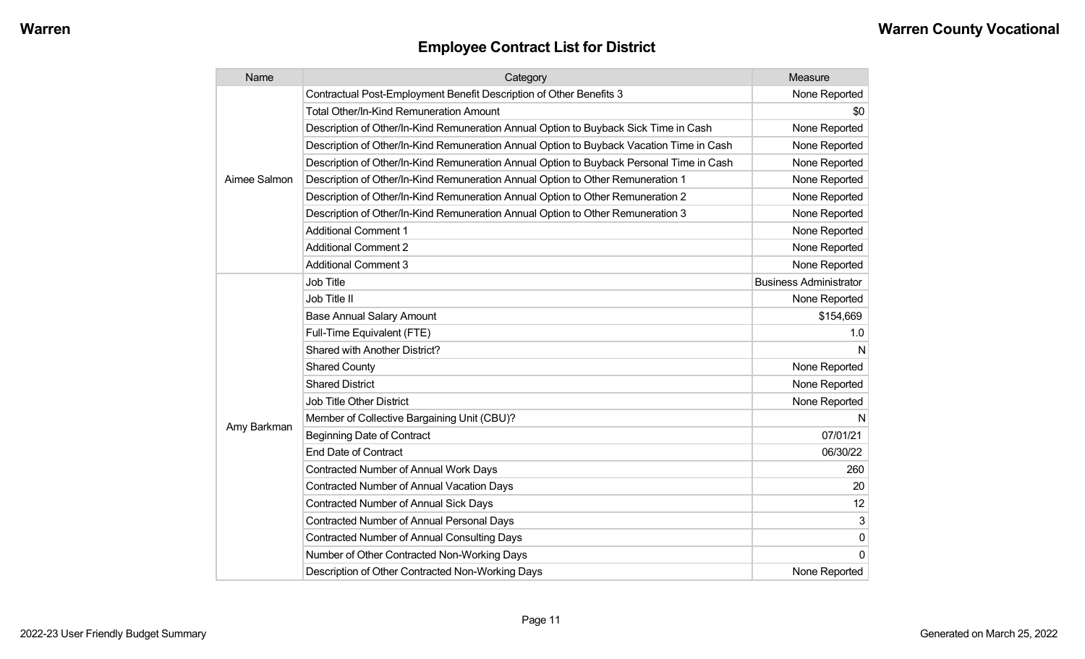| Name         | Category                                                                                 | Measure                       |
|--------------|------------------------------------------------------------------------------------------|-------------------------------|
|              | Contractual Post-Employment Benefit Description of Other Benefits 3                      | None Reported                 |
|              | Total Other/In-Kind Remuneration Amount                                                  | \$0                           |
|              | Description of Other/In-Kind Remuneration Annual Option to Buyback Sick Time in Cash     | None Reported                 |
|              | Description of Other/In-Kind Remuneration Annual Option to Buyback Vacation Time in Cash | None Reported                 |
|              | Description of Other/In-Kind Remuneration Annual Option to Buyback Personal Time in Cash | None Reported                 |
| Aimee Salmon | Description of Other/In-Kind Remuneration Annual Option to Other Remuneration 1          | None Reported                 |
|              | Description of Other/In-Kind Remuneration Annual Option to Other Remuneration 2          | None Reported                 |
|              | Description of Other/In-Kind Remuneration Annual Option to Other Remuneration 3          | None Reported                 |
|              | <b>Additional Comment 1</b>                                                              | None Reported                 |
|              | <b>Additional Comment 2</b>                                                              | None Reported                 |
|              | <b>Additional Comment 3</b>                                                              | None Reported                 |
|              | Job Title                                                                                | <b>Business Administrator</b> |
|              | Job Title II                                                                             | None Reported                 |
|              | <b>Base Annual Salary Amount</b>                                                         | \$154,669                     |
|              | Full-Time Equivalent (FTE)                                                               | 1.0                           |
|              | Shared with Another District?                                                            | N                             |
|              | <b>Shared County</b>                                                                     | None Reported                 |
|              | <b>Shared District</b>                                                                   | None Reported                 |
|              | Job Title Other District                                                                 | None Reported                 |
|              | Member of Collective Bargaining Unit (CBU)?                                              | N                             |
| Amy Barkman  | <b>Beginning Date of Contract</b>                                                        | 07/01/21                      |
|              | <b>End Date of Contract</b>                                                              | 06/30/22                      |
|              | Contracted Number of Annual Work Days                                                    | 260                           |
|              | <b>Contracted Number of Annual Vacation Days</b>                                         | 20                            |
|              | Contracted Number of Annual Sick Days                                                    | 12                            |
|              | Contracted Number of Annual Personal Days                                                | 3                             |
|              | <b>Contracted Number of Annual Consulting Days</b>                                       | $\mathbf{0}$                  |
|              | Number of Other Contracted Non-Working Days                                              | $\Omega$                      |
|              | Description of Other Contracted Non-Working Days                                         | None Reported                 |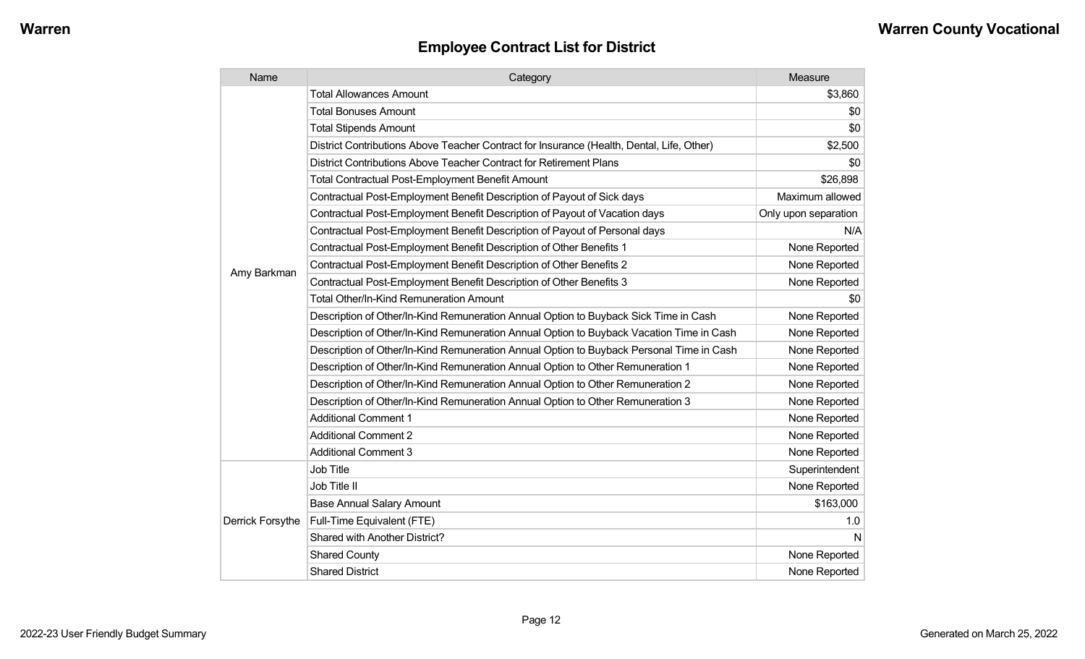| Name             | Category                                                                                  | Measure              |
|------------------|-------------------------------------------------------------------------------------------|----------------------|
|                  | <b>Total Allowances Amount</b>                                                            | \$3,860              |
|                  | <b>Total Bonuses Amount</b>                                                               | \$0                  |
|                  | <b>Total Stipends Amount</b>                                                              | \$0                  |
|                  | District Contributions Above Teacher Contract for Insurance (Health, Dental, Life, Other) | \$2,500              |
|                  | District Contributions Above Teacher Contract for Retirement Plans                        | \$0                  |
|                  | Total Contractual Post-Employment Benefit Amount                                          | \$26,898             |
|                  | Contractual Post-Employment Benefit Description of Payout of Sick days                    | Maximum allowed      |
|                  | Contractual Post-Employment Benefit Description of Payout of Vacation days                | Only upon separation |
|                  | Contractual Post-Employment Benefit Description of Payout of Personal days                | N/A                  |
|                  | Contractual Post-Employment Benefit Description of Other Benefits 1                       | None Reported        |
|                  | Contractual Post-Employment Benefit Description of Other Benefits 2                       | None Reported        |
| Amy Barkman      | Contractual Post-Employment Benefit Description of Other Benefits 3                       | None Reported        |
|                  | <b>Total Other/In-Kind Remuneration Amount</b>                                            | \$0                  |
|                  | Description of Other/In-Kind Remuneration Annual Option to Buyback Sick Time in Cash      | None Reported        |
|                  | Description of Other/In-Kind Remuneration Annual Option to Buyback Vacation Time in Cash  | None Reported        |
|                  | Description of Other/In-Kind Remuneration Annual Option to Buyback Personal Time in Cash  | None Reported        |
|                  | Description of Other/In-Kind Remuneration Annual Option to Other Remuneration 1           | None Reported        |
|                  | Description of Other/In-Kind Remuneration Annual Option to Other Remuneration 2           | None Reported        |
|                  | Description of Other/In-Kind Remuneration Annual Option to Other Remuneration 3           | None Reported        |
|                  | <b>Additional Comment 1</b>                                                               | None Reported        |
|                  | <b>Additional Comment 2</b>                                                               | None Reported        |
|                  | <b>Additional Comment 3</b>                                                               | None Reported        |
|                  | Job Title                                                                                 | Superintendent       |
| Derrick Forsythe | Job Title II                                                                              | None Reported        |
|                  | <b>Base Annual Salary Amount</b>                                                          | \$163,000            |
|                  | Full-Time Equivalent (FTE)                                                                | 1.0                  |
|                  | Shared with Another District?                                                             | N                    |
|                  | <b>Shared County</b>                                                                      | None Reported        |
|                  | <b>Shared District</b>                                                                    | None Reported        |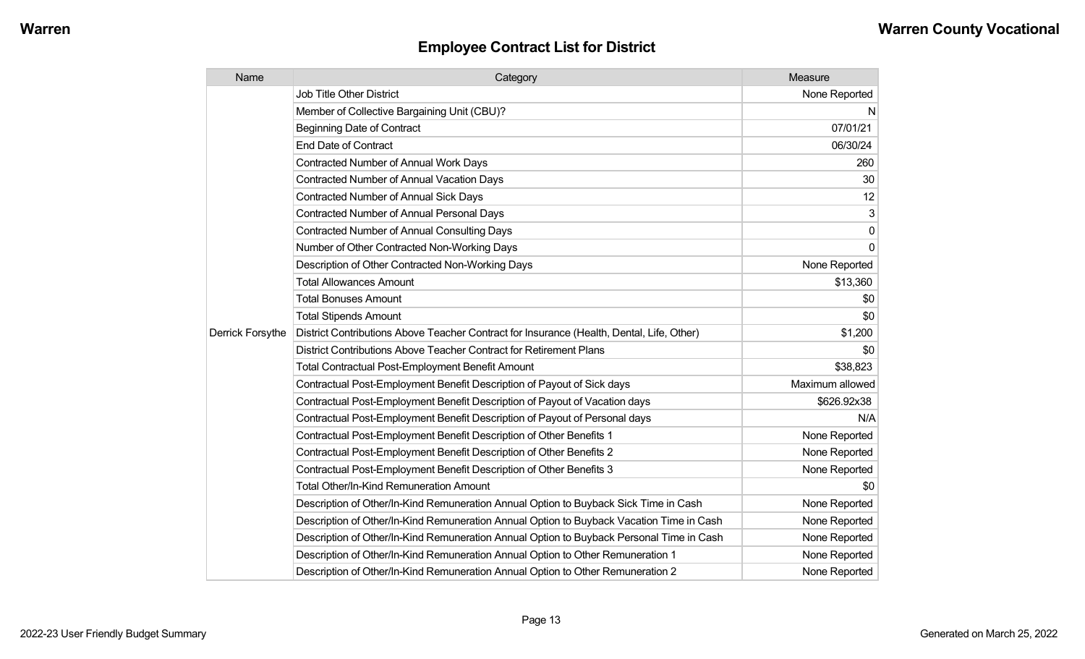| Name             | Category                                                                                  | Measure         |
|------------------|-------------------------------------------------------------------------------------------|-----------------|
|                  | <b>Job Title Other District</b>                                                           | None Reported   |
|                  | Member of Collective Bargaining Unit (CBU)?                                               | N               |
|                  | <b>Beginning Date of Contract</b>                                                         | 07/01/21        |
|                  | <b>End Date of Contract</b>                                                               | 06/30/24        |
|                  | Contracted Number of Annual Work Days                                                     | 260             |
|                  | <b>Contracted Number of Annual Vacation Days</b>                                          | 30              |
|                  | Contracted Number of Annual Sick Days                                                     | 12              |
|                  | Contracted Number of Annual Personal Days                                                 | 3               |
|                  | <b>Contracted Number of Annual Consulting Days</b>                                        | $\mathbf 0$     |
|                  | Number of Other Contracted Non-Working Days                                               | $\Omega$        |
|                  | Description of Other Contracted Non-Working Days                                          | None Reported   |
|                  | <b>Total Allowances Amount</b>                                                            | \$13,360        |
|                  | <b>Total Bonuses Amount</b>                                                               | \$0             |
|                  | <b>Total Stipends Amount</b>                                                              | \$0             |
| Derrick Forsythe | District Contributions Above Teacher Contract for Insurance (Health, Dental, Life, Other) | \$1,200         |
|                  | District Contributions Above Teacher Contract for Retirement Plans                        | \$0             |
|                  | <b>Total Contractual Post-Employment Benefit Amount</b>                                   | \$38,823        |
|                  | Contractual Post-Employment Benefit Description of Payout of Sick days                    | Maximum allowed |
|                  | Contractual Post-Employment Benefit Description of Payout of Vacation days                | \$626.92x38     |
|                  | Contractual Post-Employment Benefit Description of Payout of Personal days                | N/A             |
|                  | Contractual Post-Employment Benefit Description of Other Benefits 1                       | None Reported   |
|                  | Contractual Post-Employment Benefit Description of Other Benefits 2                       | None Reported   |
|                  | Contractual Post-Employment Benefit Description of Other Benefits 3                       | None Reported   |
|                  | Total Other/In-Kind Remuneration Amount                                                   | \$0             |
|                  | Description of Other/In-Kind Remuneration Annual Option to Buyback Sick Time in Cash      | None Reported   |
|                  | Description of Other/In-Kind Remuneration Annual Option to Buyback Vacation Time in Cash  | None Reported   |
|                  | Description of Other/In-Kind Remuneration Annual Option to Buyback Personal Time in Cash  | None Reported   |
|                  | Description of Other/In-Kind Remuneration Annual Option to Other Remuneration 1           | None Reported   |
|                  | Description of Other/In-Kind Remuneration Annual Option to Other Remuneration 2           | None Reported   |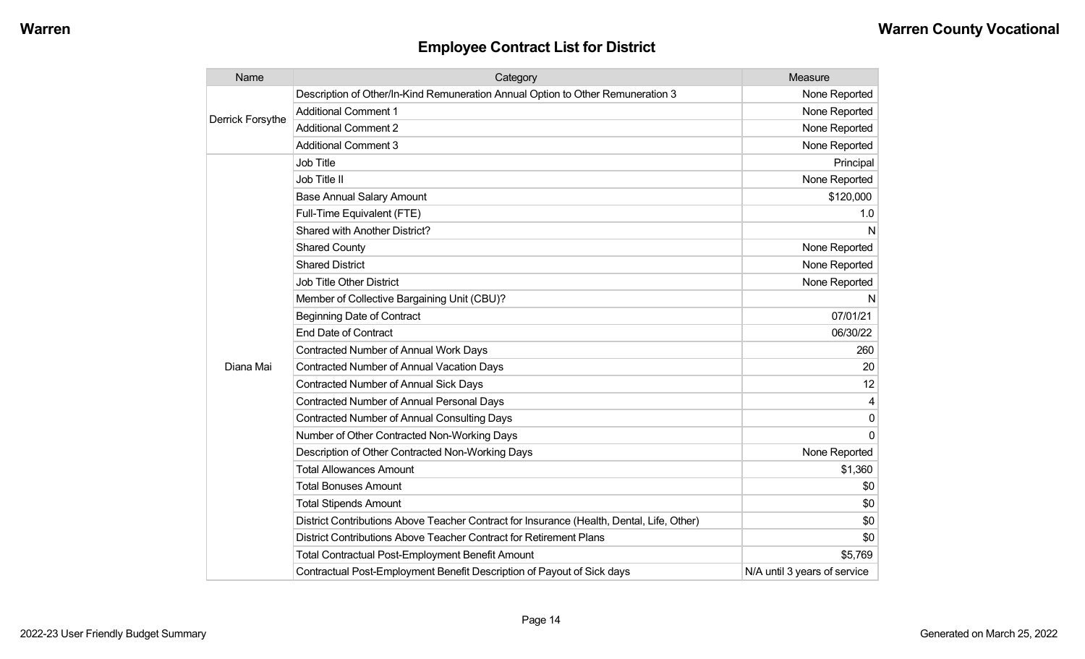| Name             | Category                                                                                  | Measure                      |
|------------------|-------------------------------------------------------------------------------------------|------------------------------|
| Derrick Forsythe | Description of Other/In-Kind Remuneration Annual Option to Other Remuneration 3           | None Reported                |
|                  | <b>Additional Comment 1</b>                                                               | None Reported                |
|                  | <b>Additional Comment 2</b>                                                               | None Reported                |
|                  | <b>Additional Comment 3</b>                                                               | None Reported                |
|                  | Job Title                                                                                 | Principal                    |
|                  | Job Title II                                                                              | None Reported                |
|                  | <b>Base Annual Salary Amount</b>                                                          | \$120,000                    |
|                  | Full-Time Equivalent (FTE)                                                                | 1.0                          |
|                  | Shared with Another District?                                                             | N                            |
|                  | <b>Shared County</b>                                                                      | None Reported                |
|                  | <b>Shared District</b>                                                                    | None Reported                |
|                  | <b>Job Title Other District</b>                                                           | None Reported                |
|                  | Member of Collective Bargaining Unit (CBU)?                                               | N                            |
|                  | <b>Beginning Date of Contract</b>                                                         | 07/01/21                     |
|                  | <b>End Date of Contract</b>                                                               | 06/30/22                     |
|                  | <b>Contracted Number of Annual Work Days</b>                                              | 260                          |
| Diana Mai        | <b>Contracted Number of Annual Vacation Days</b>                                          | 20                           |
|                  | Contracted Number of Annual Sick Days                                                     | 12                           |
|                  | Contracted Number of Annual Personal Days                                                 | 4                            |
|                  | <b>Contracted Number of Annual Consulting Days</b>                                        | $\Omega$                     |
|                  | Number of Other Contracted Non-Working Days                                               | $\Omega$                     |
|                  | Description of Other Contracted Non-Working Days                                          | None Reported                |
|                  | <b>Total Allowances Amount</b>                                                            | \$1,360                      |
|                  | <b>Total Bonuses Amount</b>                                                               | \$0                          |
|                  | <b>Total Stipends Amount</b>                                                              | \$0                          |
|                  | District Contributions Above Teacher Contract for Insurance (Health, Dental, Life, Other) | \$0                          |
|                  | District Contributions Above Teacher Contract for Retirement Plans                        | \$0                          |
|                  | <b>Total Contractual Post-Employment Benefit Amount</b>                                   | \$5,769                      |
|                  | Contractual Post-Employment Benefit Description of Payout of Sick days                    | N/A until 3 years of service |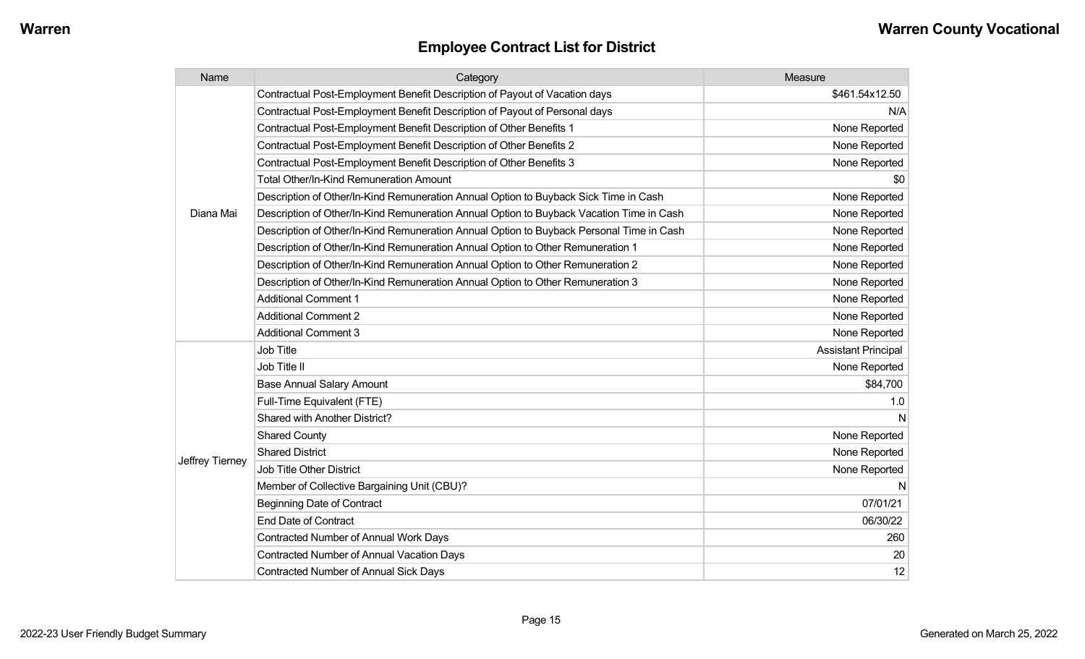| Name            | Category                                                                                 | Measure                    |
|-----------------|------------------------------------------------------------------------------------------|----------------------------|
|                 | Contractual Post-Employment Benefit Description of Payout of Vacation days               | \$461.54x12.50             |
|                 | Contractual Post-Employment Benefit Description of Payout of Personal days               | N/A                        |
|                 | Contractual Post-Employment Benefit Description of Other Benefits 1                      | None Reported              |
|                 | Contractual Post-Employment Benefit Description of Other Benefits 2                      | None Reported              |
|                 | Contractual Post-Employment Benefit Description of Other Benefits 3                      | None Reported              |
|                 | <b>Total Other/In-Kind Remuneration Amount</b>                                           | \$0                        |
|                 | Description of Other/In-Kind Remuneration Annual Option to Buyback Sick Time in Cash     | None Reported              |
| Diana Mai       | Description of Other/In-Kind Remuneration Annual Option to Buyback Vacation Time in Cash | None Reported              |
|                 | Description of Other/In-Kind Remuneration Annual Option to Buyback Personal Time in Cash | None Reported              |
|                 | Description of Other/In-Kind Remuneration Annual Option to Other Remuneration 1          | None Reported              |
|                 | Description of Other/In-Kind Remuneration Annual Option to Other Remuneration 2          | None Reported              |
|                 | Description of Other/In-Kind Remuneration Annual Option to Other Remuneration 3          | None Reported              |
|                 | <b>Additional Comment 1</b>                                                              | None Reported              |
|                 | <b>Additional Comment 2</b>                                                              | None Reported              |
|                 | <b>Additional Comment 3</b>                                                              | None Reported              |
|                 | Job Title                                                                                | <b>Assistant Principal</b> |
|                 | Job Title II                                                                             | None Reported              |
|                 | <b>Base Annual Salary Amount</b>                                                         | \$84,700                   |
|                 | Full-Time Equivalent (FTE)                                                               | 1.0                        |
|                 | <b>Shared with Another District?</b>                                                     | N                          |
|                 | <b>Shared County</b>                                                                     | None Reported              |
|                 | <b>Shared District</b>                                                                   | None Reported              |
| Jeffrey Tierney | Job Title Other District                                                                 | None Reported              |
|                 | Member of Collective Bargaining Unit (CBU)?                                              | N                          |
|                 | <b>Beginning Date of Contract</b>                                                        | 07/01/21                   |
|                 | <b>End Date of Contract</b>                                                              | 06/30/22                   |
|                 | Contracted Number of Annual Work Days                                                    | 260                        |
|                 | <b>Contracted Number of Annual Vacation Days</b>                                         | 20                         |
|                 | <b>Contracted Number of Annual Sick Days</b>                                             | 12                         |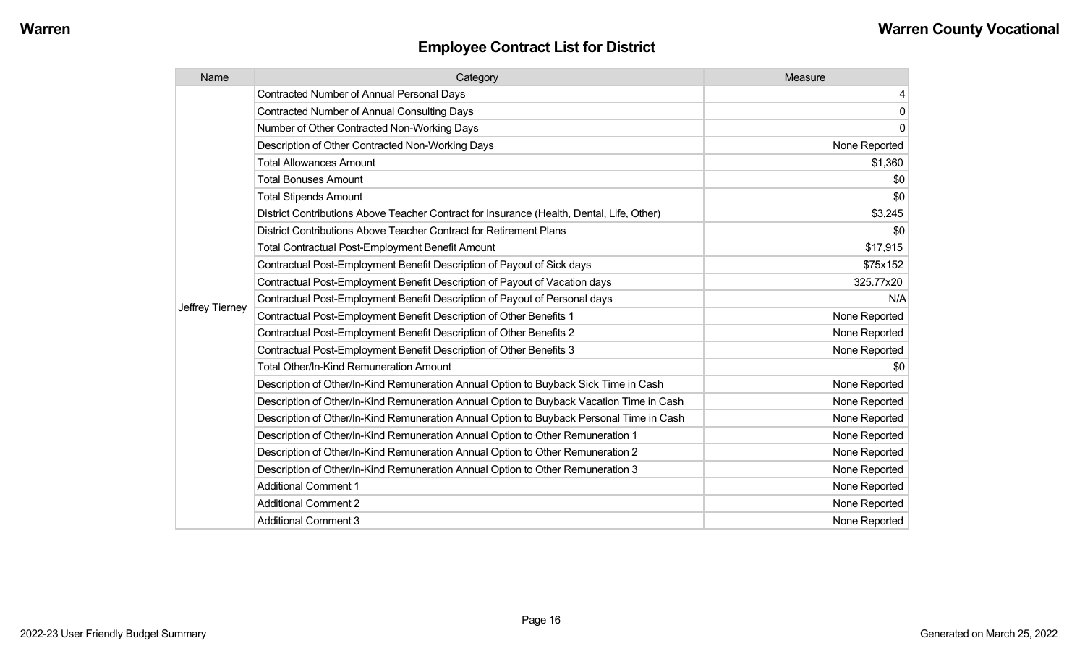| Name            | Category                                                                                  | Measure       |
|-----------------|-------------------------------------------------------------------------------------------|---------------|
|                 | <b>Contracted Number of Annual Personal Days</b>                                          | 4             |
|                 | <b>Contracted Number of Annual Consulting Days</b>                                        | $\Omega$      |
|                 | Number of Other Contracted Non-Working Days                                               | $\Omega$      |
|                 | Description of Other Contracted Non-Working Days                                          | None Reported |
|                 | <b>Total Allowances Amount</b>                                                            | \$1,360       |
|                 | <b>Total Bonuses Amount</b>                                                               | \$0           |
|                 | <b>Total Stipends Amount</b>                                                              | \$0           |
|                 | District Contributions Above Teacher Contract for Insurance (Health, Dental, Life, Other) | \$3,245       |
|                 | District Contributions Above Teacher Contract for Retirement Plans                        | \$0           |
|                 | <b>Total Contractual Post-Employment Benefit Amount</b>                                   | \$17,915      |
|                 | Contractual Post-Employment Benefit Description of Payout of Sick days                    | \$75x152      |
|                 | Contractual Post-Employment Benefit Description of Payout of Vacation days                | 325.77x20     |
|                 | Contractual Post-Employment Benefit Description of Payout of Personal days                | N/A           |
| Jeffrey Tierney | Contractual Post-Employment Benefit Description of Other Benefits 1                       | None Reported |
|                 | Contractual Post-Employment Benefit Description of Other Benefits 2                       | None Reported |
|                 | Contractual Post-Employment Benefit Description of Other Benefits 3                       | None Reported |
|                 | Total Other/In-Kind Remuneration Amount                                                   | \$0           |
|                 | Description of Other/In-Kind Remuneration Annual Option to Buyback Sick Time in Cash      | None Reported |
|                 | Description of Other/In-Kind Remuneration Annual Option to Buyback Vacation Time in Cash  | None Reported |
|                 | Description of Other/In-Kind Remuneration Annual Option to Buyback Personal Time in Cash  | None Reported |
|                 | Description of Other/In-Kind Remuneration Annual Option to Other Remuneration 1           | None Reported |
|                 | Description of Other/In-Kind Remuneration Annual Option to Other Remuneration 2           | None Reported |
|                 | Description of Other/In-Kind Remuneration Annual Option to Other Remuneration 3           | None Reported |
|                 | <b>Additional Comment 1</b>                                                               | None Reported |
|                 | <b>Additional Comment 2</b>                                                               | None Reported |
|                 | <b>Additional Comment 3</b>                                                               | None Reported |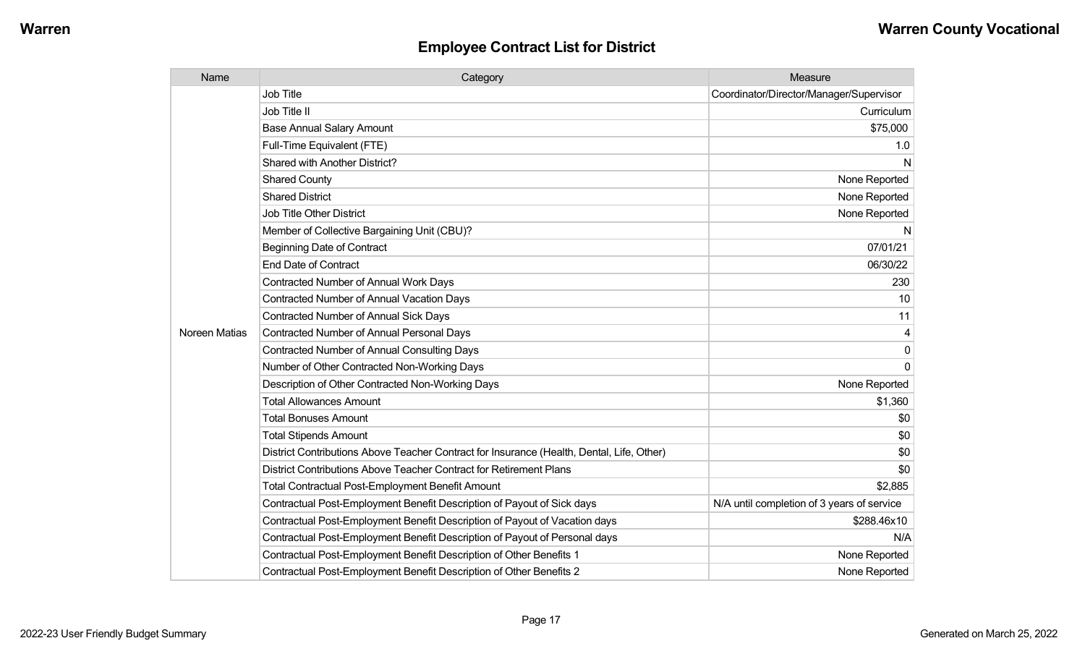| Name          | Category                                                                                  | Measure                                    |
|---------------|-------------------------------------------------------------------------------------------|--------------------------------------------|
|               | <b>Job Title</b>                                                                          | Coordinator/Director/Manager/Supervisor    |
|               | Job Title II                                                                              | Curriculum                                 |
|               | <b>Base Annual Salary Amount</b>                                                          | \$75,000                                   |
|               | Full-Time Equivalent (FTE)                                                                | 1.0                                        |
|               | Shared with Another District?                                                             | N                                          |
|               | <b>Shared County</b>                                                                      | None Reported                              |
|               | <b>Shared District</b>                                                                    | None Reported                              |
|               | <b>Job Title Other District</b>                                                           | None Reported                              |
|               | Member of Collective Bargaining Unit (CBU)?                                               | N                                          |
|               | <b>Beginning Date of Contract</b>                                                         | 07/01/21                                   |
|               | <b>End Date of Contract</b>                                                               | 06/30/22                                   |
|               | <b>Contracted Number of Annual Work Days</b>                                              | 230                                        |
|               | <b>Contracted Number of Annual Vacation Days</b>                                          | 10                                         |
|               | <b>Contracted Number of Annual Sick Days</b>                                              | 11                                         |
| Noreen Matias | <b>Contracted Number of Annual Personal Days</b>                                          |                                            |
|               | <b>Contracted Number of Annual Consulting Days</b>                                        | $\Omega$                                   |
|               | Number of Other Contracted Non-Working Days                                               | $\Omega$                                   |
|               | Description of Other Contracted Non-Working Days                                          | None Reported                              |
|               | <b>Total Allowances Amount</b>                                                            | \$1,360                                    |
|               | <b>Total Bonuses Amount</b>                                                               | \$0                                        |
|               | <b>Total Stipends Amount</b>                                                              | \$0                                        |
|               | District Contributions Above Teacher Contract for Insurance (Health, Dental, Life, Other) | \$0                                        |
|               | District Contributions Above Teacher Contract for Retirement Plans                        | \$0                                        |
|               | <b>Total Contractual Post-Employment Benefit Amount</b>                                   | \$2,885                                    |
|               | Contractual Post-Employment Benefit Description of Payout of Sick days                    | N/A until completion of 3 years of service |
|               | Contractual Post-Employment Benefit Description of Payout of Vacation days                | \$288.46x10                                |
|               | Contractual Post-Employment Benefit Description of Payout of Personal days                | N/A                                        |
|               | Contractual Post-Employment Benefit Description of Other Benefits 1                       | None Reported                              |
|               | Contractual Post-Employment Benefit Description of Other Benefits 2                       | None Reported                              |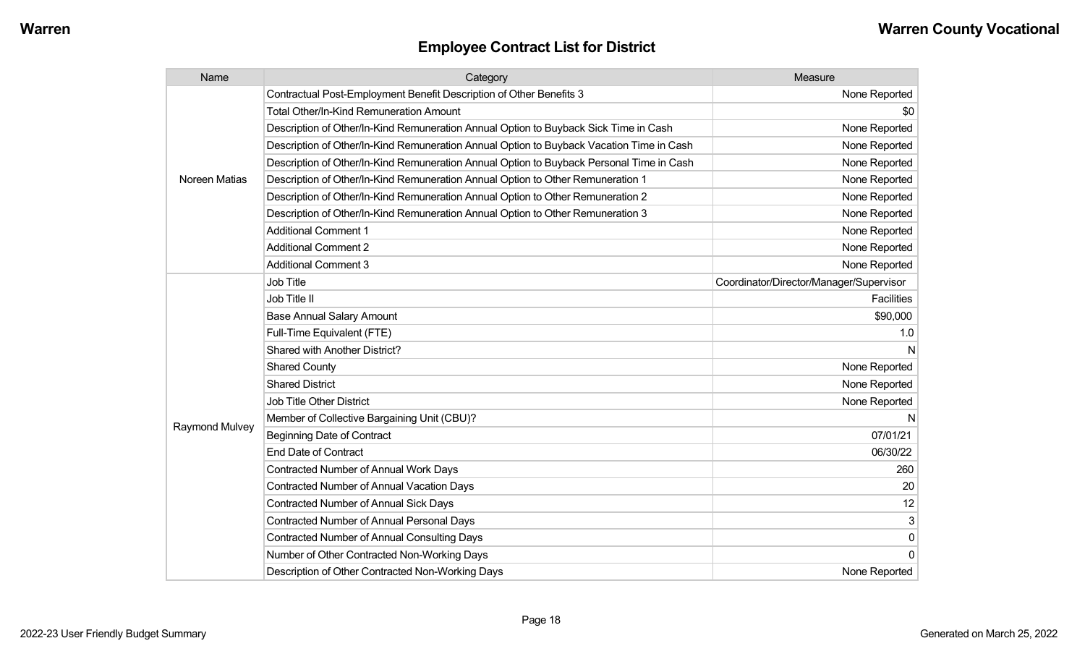| <b>Employee Contract List for District</b> |  |  |  |
|--------------------------------------------|--|--|--|
|--------------------------------------------|--|--|--|

| Name                  | Category                                                                                 | Measure                                 |
|-----------------------|------------------------------------------------------------------------------------------|-----------------------------------------|
|                       | Contractual Post-Employment Benefit Description of Other Benefits 3                      | None Reported                           |
|                       | <b>Total Other/In-Kind Remuneration Amount</b>                                           | \$0                                     |
|                       | Description of Other/In-Kind Remuneration Annual Option to Buyback Sick Time in Cash     | None Reported                           |
|                       | Description of Other/In-Kind Remuneration Annual Option to Buyback Vacation Time in Cash | None Reported                           |
|                       | Description of Other/In-Kind Remuneration Annual Option to Buyback Personal Time in Cash | None Reported                           |
| Noreen Matias         | Description of Other/In-Kind Remuneration Annual Option to Other Remuneration 1          | None Reported                           |
|                       | Description of Other/In-Kind Remuneration Annual Option to Other Remuneration 2          | None Reported                           |
|                       | Description of Other/In-Kind Remuneration Annual Option to Other Remuneration 3          | None Reported                           |
|                       | <b>Additional Comment 1</b>                                                              | None Reported                           |
|                       | <b>Additional Comment 2</b>                                                              | None Reported                           |
|                       | <b>Additional Comment 3</b>                                                              | None Reported                           |
|                       | Job Title                                                                                | Coordinator/Director/Manager/Supervisor |
|                       | Job Title II                                                                             | <b>Facilities</b>                       |
|                       | <b>Base Annual Salary Amount</b>                                                         | \$90,000                                |
|                       | Full-Time Equivalent (FTE)                                                               | 1.0                                     |
|                       | <b>Shared with Another District?</b>                                                     |                                         |
|                       | <b>Shared County</b>                                                                     | None Reported                           |
|                       | <b>Shared District</b>                                                                   | None Reported                           |
|                       | Job Title Other District                                                                 | None Reported                           |
|                       | Member of Collective Bargaining Unit (CBU)?                                              |                                         |
| <b>Raymond Mulvey</b> | <b>Beginning Date of Contract</b>                                                        | 07/01/21                                |
|                       | <b>End Date of Contract</b>                                                              | 06/30/22                                |
|                       | Contracted Number of Annual Work Days                                                    | 260                                     |
|                       | <b>Contracted Number of Annual Vacation Days</b>                                         | 20                                      |
|                       | Contracted Number of Annual Sick Days                                                    | 12                                      |
|                       | Contracted Number of Annual Personal Days                                                | 3                                       |
|                       | <b>Contracted Number of Annual Consulting Days</b>                                       | 0                                       |
|                       | Number of Other Contracted Non-Working Days                                              | $\Omega$                                |
|                       | Description of Other Contracted Non-Working Days                                         | None Reported                           |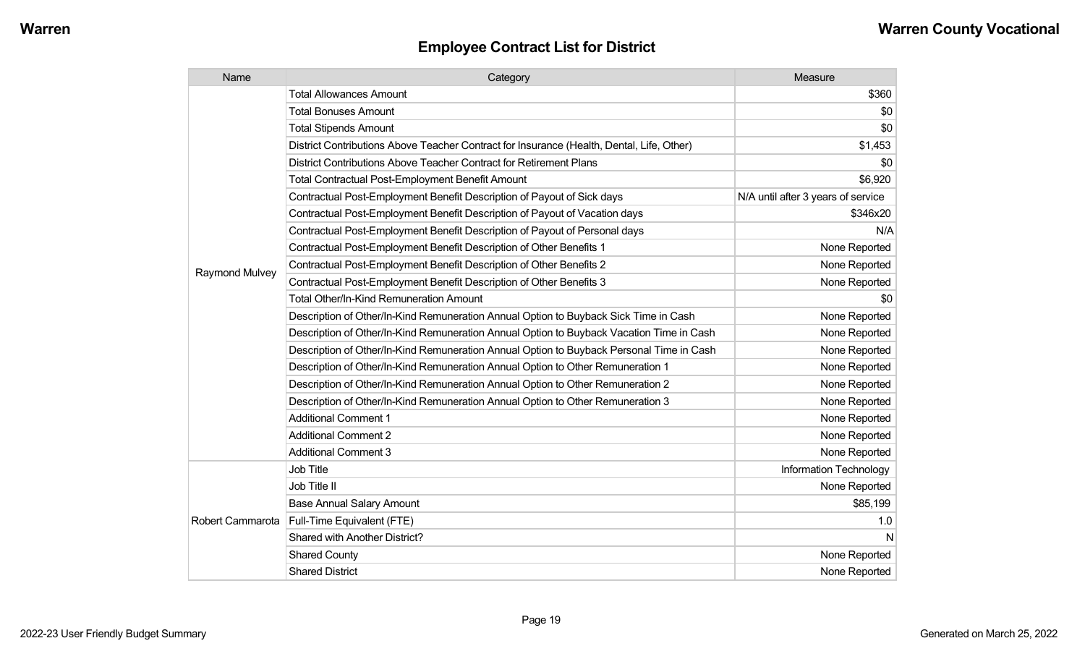| Name             | Category                                                                                  | Measure                            |
|------------------|-------------------------------------------------------------------------------------------|------------------------------------|
|                  | <b>Total Allowances Amount</b>                                                            | \$360                              |
|                  | <b>Total Bonuses Amount</b>                                                               | \$0                                |
|                  | <b>Total Stipends Amount</b>                                                              | \$0                                |
|                  | District Contributions Above Teacher Contract for Insurance (Health, Dental, Life, Other) | \$1,453                            |
|                  | District Contributions Above Teacher Contract for Retirement Plans                        | \$0                                |
|                  | <b>Total Contractual Post-Employment Benefit Amount</b>                                   | \$6,920                            |
|                  | Contractual Post-Employment Benefit Description of Payout of Sick days                    | N/A until after 3 years of service |
|                  | Contractual Post-Employment Benefit Description of Payout of Vacation days                | \$346x20                           |
|                  | Contractual Post-Employment Benefit Description of Payout of Personal days                | N/A                                |
|                  | Contractual Post-Employment Benefit Description of Other Benefits 1                       | None Reported                      |
| Raymond Mulvey   | Contractual Post-Employment Benefit Description of Other Benefits 2                       | None Reported                      |
|                  | Contractual Post-Employment Benefit Description of Other Benefits 3                       | None Reported                      |
|                  | Total Other/In-Kind Remuneration Amount                                                   | \$0                                |
|                  | Description of Other/In-Kind Remuneration Annual Option to Buyback Sick Time in Cash      | None Reported                      |
|                  | Description of Other/In-Kind Remuneration Annual Option to Buyback Vacation Time in Cash  | None Reported                      |
|                  | Description of Other/In-Kind Remuneration Annual Option to Buyback Personal Time in Cash  | None Reported                      |
|                  | Description of Other/In-Kind Remuneration Annual Option to Other Remuneration 1           | None Reported                      |
|                  | Description of Other/In-Kind Remuneration Annual Option to Other Remuneration 2           | None Reported                      |
|                  | Description of Other/In-Kind Remuneration Annual Option to Other Remuneration 3           | None Reported                      |
|                  | <b>Additional Comment 1</b>                                                               | None Reported                      |
|                  | <b>Additional Comment 2</b>                                                               | None Reported                      |
|                  | <b>Additional Comment 3</b>                                                               | None Reported                      |
|                  | <b>Job Title</b>                                                                          | Information Technology             |
| Robert Cammarota | Job Title II                                                                              | None Reported                      |
|                  | <b>Base Annual Salary Amount</b>                                                          | \$85,199                           |
|                  | Full-Time Equivalent (FTE)                                                                | 1.0                                |
|                  | Shared with Another District?                                                             | N                                  |
|                  | <b>Shared County</b>                                                                      | None Reported                      |
|                  | <b>Shared District</b>                                                                    | None Reported                      |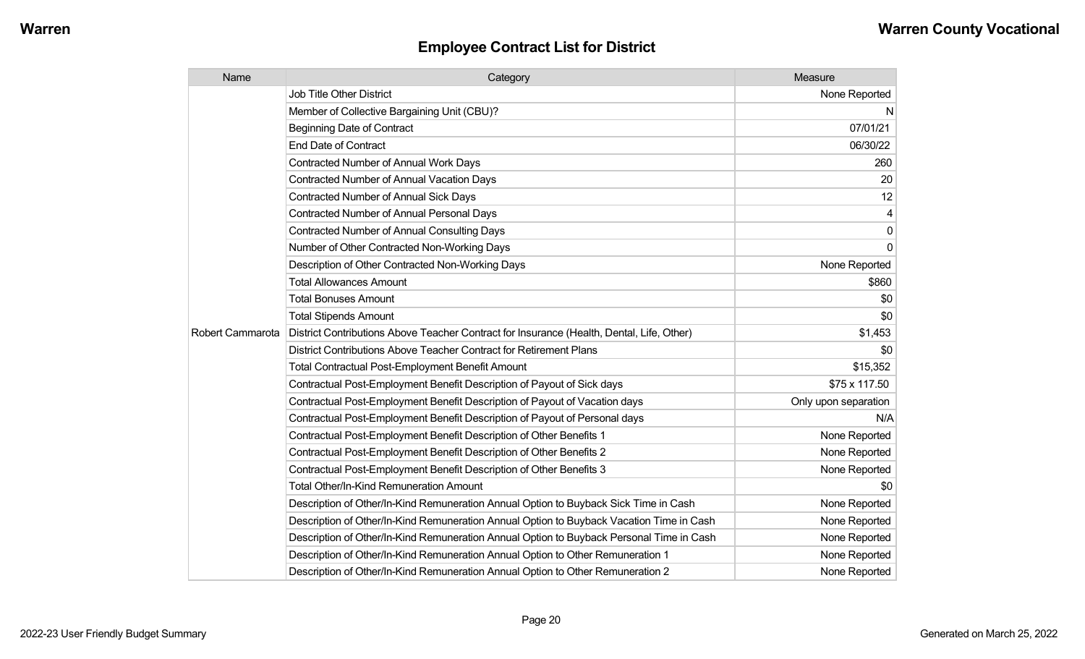| Name             | Category                                                                                  | Measure              |
|------------------|-------------------------------------------------------------------------------------------|----------------------|
|                  | <b>Job Title Other District</b>                                                           | None Reported        |
|                  | Member of Collective Bargaining Unit (CBU)?                                               | N                    |
|                  | <b>Beginning Date of Contract</b>                                                         | 07/01/21             |
|                  | <b>End Date of Contract</b>                                                               | 06/30/22             |
|                  | Contracted Number of Annual Work Days                                                     | 260                  |
|                  | <b>Contracted Number of Annual Vacation Days</b>                                          | 20                   |
|                  | <b>Contracted Number of Annual Sick Days</b>                                              | 12                   |
|                  | <b>Contracted Number of Annual Personal Days</b>                                          | 4                    |
|                  | Contracted Number of Annual Consulting Days                                               | $\pmb{0}$            |
|                  | Number of Other Contracted Non-Working Days                                               | 0                    |
|                  | Description of Other Contracted Non-Working Days                                          | None Reported        |
|                  | <b>Total Allowances Amount</b>                                                            | \$860                |
|                  | <b>Total Bonuses Amount</b>                                                               | \$0                  |
|                  | <b>Total Stipends Amount</b>                                                              | \$0                  |
| Robert Cammarota | District Contributions Above Teacher Contract for Insurance (Health, Dental, Life, Other) | \$1,453              |
|                  | District Contributions Above Teacher Contract for Retirement Plans                        | \$0                  |
|                  | <b>Total Contractual Post-Employment Benefit Amount</b>                                   | \$15,352             |
|                  | Contractual Post-Employment Benefit Description of Payout of Sick days                    | \$75 x 117.50        |
|                  | Contractual Post-Employment Benefit Description of Payout of Vacation days                | Only upon separation |
|                  | Contractual Post-Employment Benefit Description of Payout of Personal days                | N/A                  |
|                  | Contractual Post-Employment Benefit Description of Other Benefits 1                       | None Reported        |
|                  | Contractual Post-Employment Benefit Description of Other Benefits 2                       | None Reported        |
|                  | Contractual Post-Employment Benefit Description of Other Benefits 3                       | None Reported        |
|                  | Total Other/In-Kind Remuneration Amount                                                   | \$0                  |
|                  | Description of Other/In-Kind Remuneration Annual Option to Buyback Sick Time in Cash      | None Reported        |
|                  | Description of Other/In-Kind Remuneration Annual Option to Buyback Vacation Time in Cash  | None Reported        |
|                  | Description of Other/In-Kind Remuneration Annual Option to Buyback Personal Time in Cash  | None Reported        |
|                  | Description of Other/In-Kind Remuneration Annual Option to Other Remuneration 1           | None Reported        |
|                  | Description of Other/In-Kind Remuneration Annual Option to Other Remuneration 2           | None Reported        |